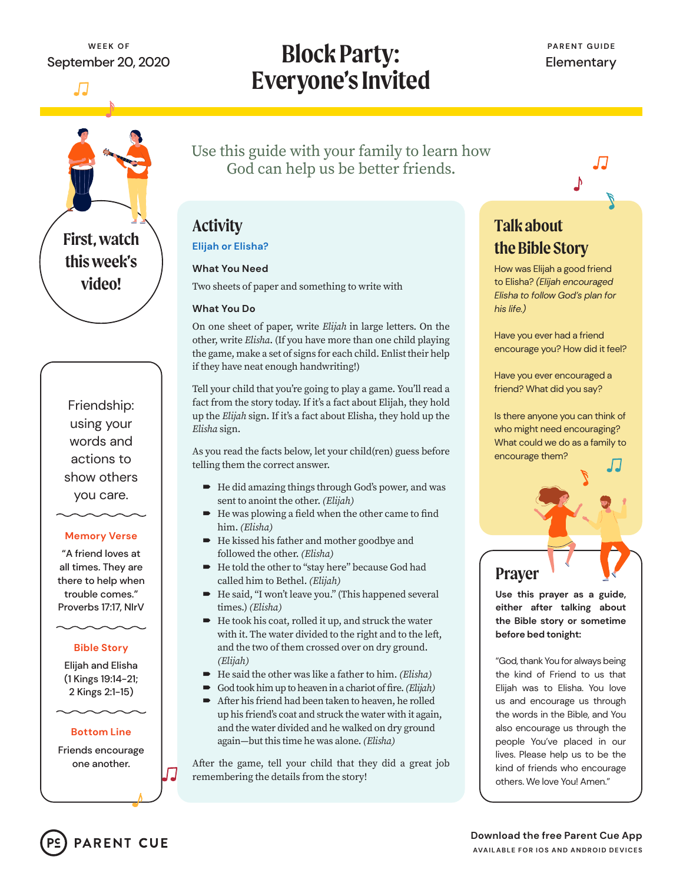# **Block Party: Everyone's Invited**



Friendship: using your words and actions to show others you care.

### **Memory Verse**

"A friend loves at all times. They are there to help when trouble comes." Proverbs 17:17, NIrV

### **Bible Story**

Elijah and Elisha (1 Kings 19:14-21; 2 Kings 2:1-15)

### **Bottom Line**

Friends encourage one another.

**PARENT CUE** 

Use this guide with your family to learn how God can help us be better friends.

## **Activity**

### **Elijah or Elisha?**

### **What You Need**

Two sheets of paper and something to write with

### **What You Do**

On one sheet of paper, write *Elijah* in large letters. On the other, write *Elisha*. (If you have more than one child playing the game, make a set of signs for each child. Enlist their help if they have neat enough handwriting!)

Tell your child that you're going to play a game. You'll read a fact from the story today. If it's a fact about Elijah, they hold up the *Elijah* sign. If it's a fact about Elisha, they hold up the *Elisha* sign.

As you read the facts below, let your child(ren) guess before telling them the correct answer.

- He did amazing things through God's power, and was sent to anoint the other. *(Elijah)*
- He was plowing a field when the other came to find him. *(Elisha)*
- He kissed his father and mother goodbye and followed the other. *(Elisha)*
- He told the other to "stay here" because God had called him to Bethel. *(Elijah)*
- He said, "I won't leave you." (This happened several times.) *(Elisha)*
- $\blacktriangleright$  He took his coat, rolled it up, and struck the water with it. The water divided to the right and to the left, and the two of them crossed over on dry ground. *(Elijah)*
- He said the other was like a father to him. *(Elisha)*
- God took him up to heaven in a chariot of fire. *(Elijah)*
- After his friend had been taken to heaven, he rolled up his friend's coat and struck the water with it again, and the water divided and he walked on dry ground again—but this time he was alone. *(Elisha)*

After the game, tell your child that they did a great job remembering the details from the story!

## **Talk about the Bible Story**

How was Elijah a good friend to Elisha? *(Elijah encouraged Elisha to follow God's plan for his life.)*

Have you ever had a friend encourage you? How did it feel?

Have you ever encouraged a friend? What did you say?

Is there anyone you can think of who might need encouraging? What could we do as a family to encourage them?

## **Prayer**

**Use this prayer as a guide, either after talking about the Bible story or sometime before bed tonight:**

"God, thank You for always being the kind of Friend to us that Elijah was to Elisha. You love us and encourage us through the words in the Bible, and You also encourage us through the people You've placed in our lives. Please help us to be the kind of friends who encourage others. We love You! Amen."